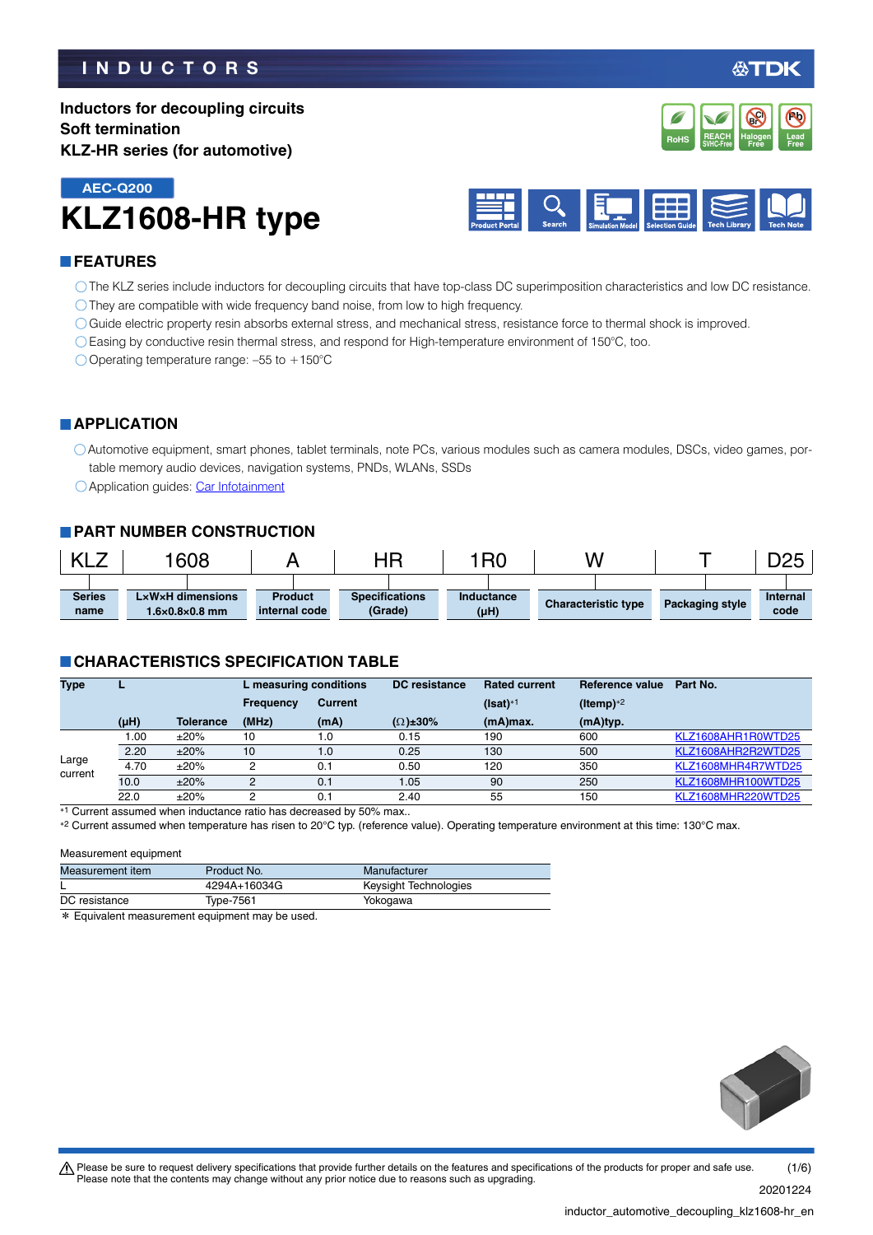### **INDUCTORS**

**Pb**

**REACH** Halogen Lead<br>SVHC-Free Free Free **RoHS** SVHC-Free **Free Free** 

**Halogen Free Br Cl**

**REACH**

**Inductors for decoupling circuits Soft termination KLZ-HR series (for automotive)**





### **FEATURES**

- The KLZ series include inductors for decoupling circuits that have top-class DC superimposition characteristics and low DC resistance.
- They are compatible with wide frequency band noise, from low to high frequency.
- Guide electric property resin absorbs external stress, and mechanical stress, resistance force to thermal shock is improved.
- Easing by conductive resin thermal stress, and respond for High-temperature environment of 150°C, too.

 $\bigcirc$  Operating temperature range: -55 to +150°C

### **APPLICATION**

Automotive equipment, smart phones, tablet terminals, note PCs, various modules such as camera modules, DSCs, video games, portable memory audio devices, navigation systems, PNDs, WLANs, SSDs

○ Application guides: [Car Infotainment](https://product.tdk.com/info/en/applicationguide/car_infotainment/index.html?utm_source=inductor_automotive_decoupling_klz1608-hr_en.pdf&utm_medium=catalog)

### **PART NUMBER CONSTRUCTION**

|               | 608                        |                | HP                    | <b>IRC</b> | W                          |                 | אמח<br>◡◡ |
|---------------|----------------------------|----------------|-----------------------|------------|----------------------------|-----------------|-----------|
|               |                            |                |                       |            |                            |                 |           |
| <b>Series</b> | LxWxH dimensions           | <b>Product</b> | <b>Specifications</b> | Inductance | <b>Characteristic type</b> | Packaging style | Internal  |
| name          | $1.6\times0.8\times0.8$ mm | internal code  | (Grade)               | (µH)       |                            |                 | code      |

### **CHARACTERISTICS SPECIFICATION TABLE**

| <b>Type</b>      |           |                  | L measuring conditions |                | <b>DC</b> resistance | <b>Rated current</b> | Reference value       | Part No.           |
|------------------|-----------|------------------|------------------------|----------------|----------------------|----------------------|-----------------------|--------------------|
|                  |           |                  | <b>Frequency</b>       | <b>Current</b> |                      | (Isat)* <sup>1</sup> | (Itemp) <sup>*2</sup> |                    |
|                  | $(\mu H)$ | <b>Tolerance</b> | (MHz)                  | (mA)           | $(\Omega) \pm 30\%$  | (mA)max.             | (mA)typ.              |                    |
| Large<br>current | 0.00      | ±20%             | 10                     | 1.0            | 0.15                 | 190                  | 600                   | KLZ1608AHR1R0WTD25 |
|                  | 2.20      | ±20%             | 10                     | 1.0            | 0.25                 | 130                  | 500                   | KLZ1608AHR2R2WTD25 |
|                  | 4.70      | ±20%             | Ω                      | 0.1            | 0.50                 | 120                  | 350                   | KLZ1608MHR4R7WTD25 |
|                  | 10.0      | ±20%             | 0                      | 0.1            | 1.05                 | 90                   | 250                   | KLZ1608MHR100WTD25 |
|                  | 22.0      | ±20%             | Ω                      | 0.1            | 2.40                 | 55                   | 150                   | KLZ1608MHR220WTD25 |

\*1 Current assumed when inductance ratio has decreased by 50% max..

\*2 Current assumed when temperature has risen to 20°C typ. (reference value). Operating temperature environment at this time: 130°C max.

#### Measurement equipment

| Measurement item | Product No.  | Manufacturer          |
|------------------|--------------|-----------------------|
| ┕                | 4294A+16034G | Keysight Technologies |
| DC resistance    | Type-7561    | Yokogawa              |
| .                |              |                       |

\* Equivalent measurement equipment may be used.



inductor\_automotive\_decoupling\_klz1608-hr\_en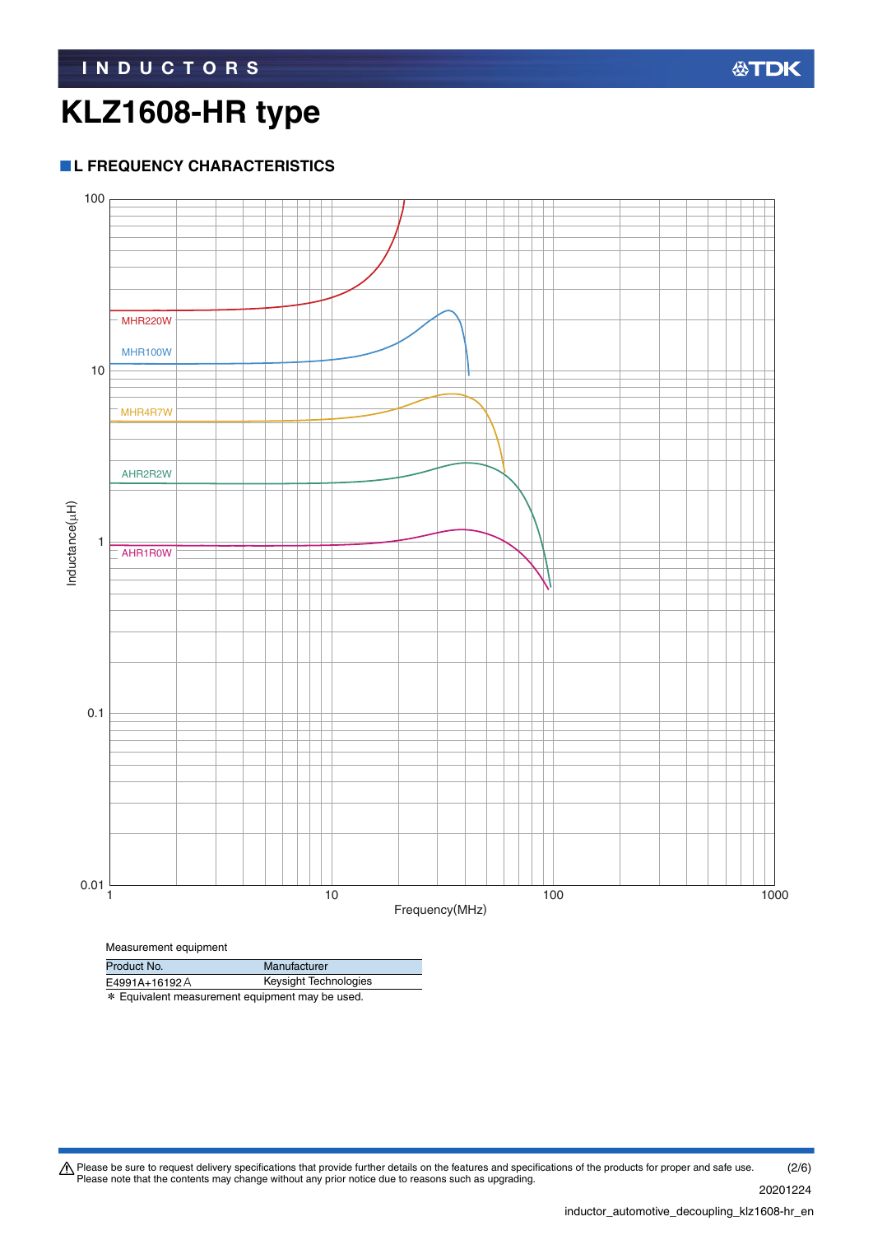### **L FREQUENCY CHARACTERISTICS**



E4991A+16192A Keysight Technologies

\* Equivalent measurement equipment may be used.

Please be sure to request delivery specifications that provide further details on the features and specifications of the products for proper and safe use.<br>Please note that the contents may change without any prior notice d 20201224 (2/6)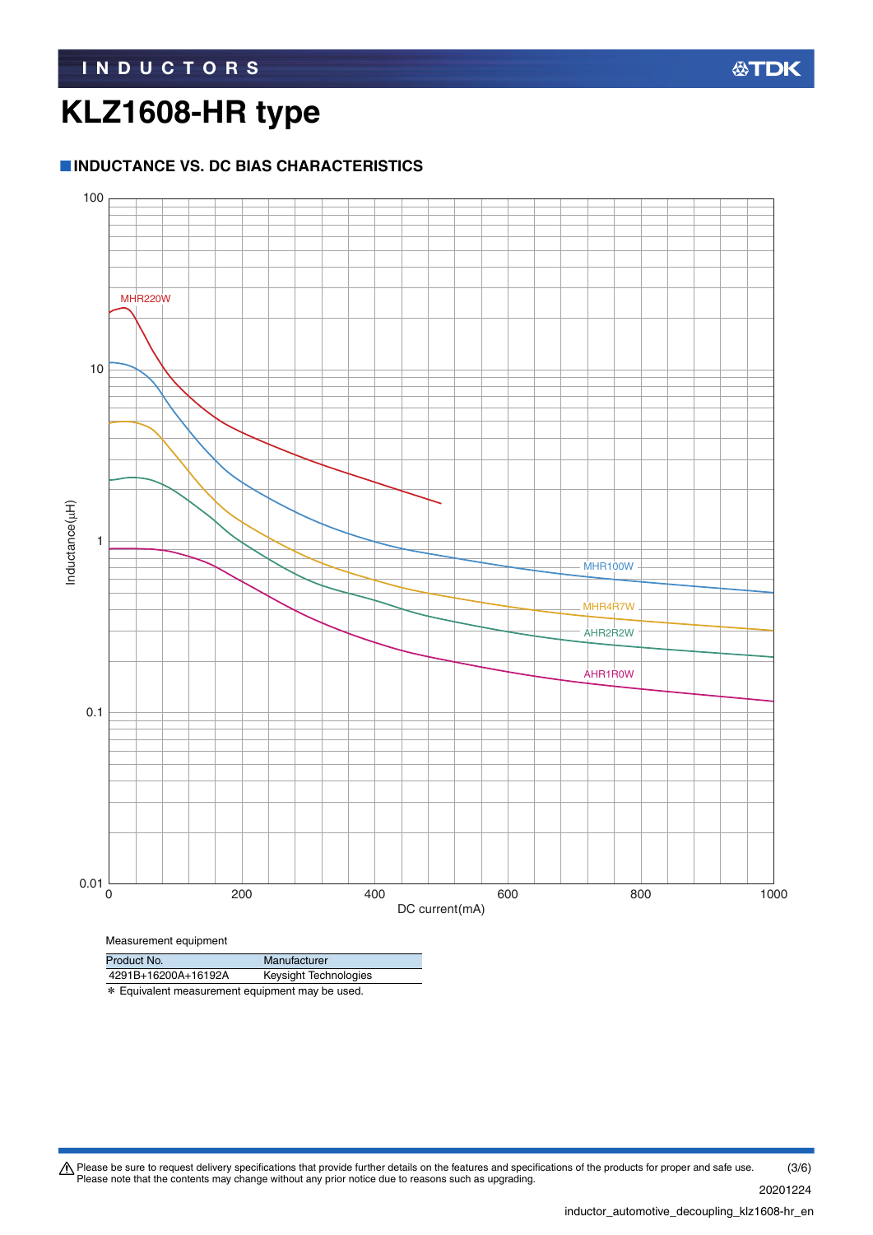### **INDUCTANCE VS. DC BIAS CHARACTERISTICS**



Measurement equipment

| Product No.         | Manufacturer          |
|---------------------|-----------------------|
| 4291B+16200A+16192A | Keysight Technologies |

\* Equivalent measurement equipment may be used.

Please be sure to request delivery specifications that provide further details on the features and specifications of the products for proper and safe use.<br>Please note that the contents may change without any prior notice d (3/6)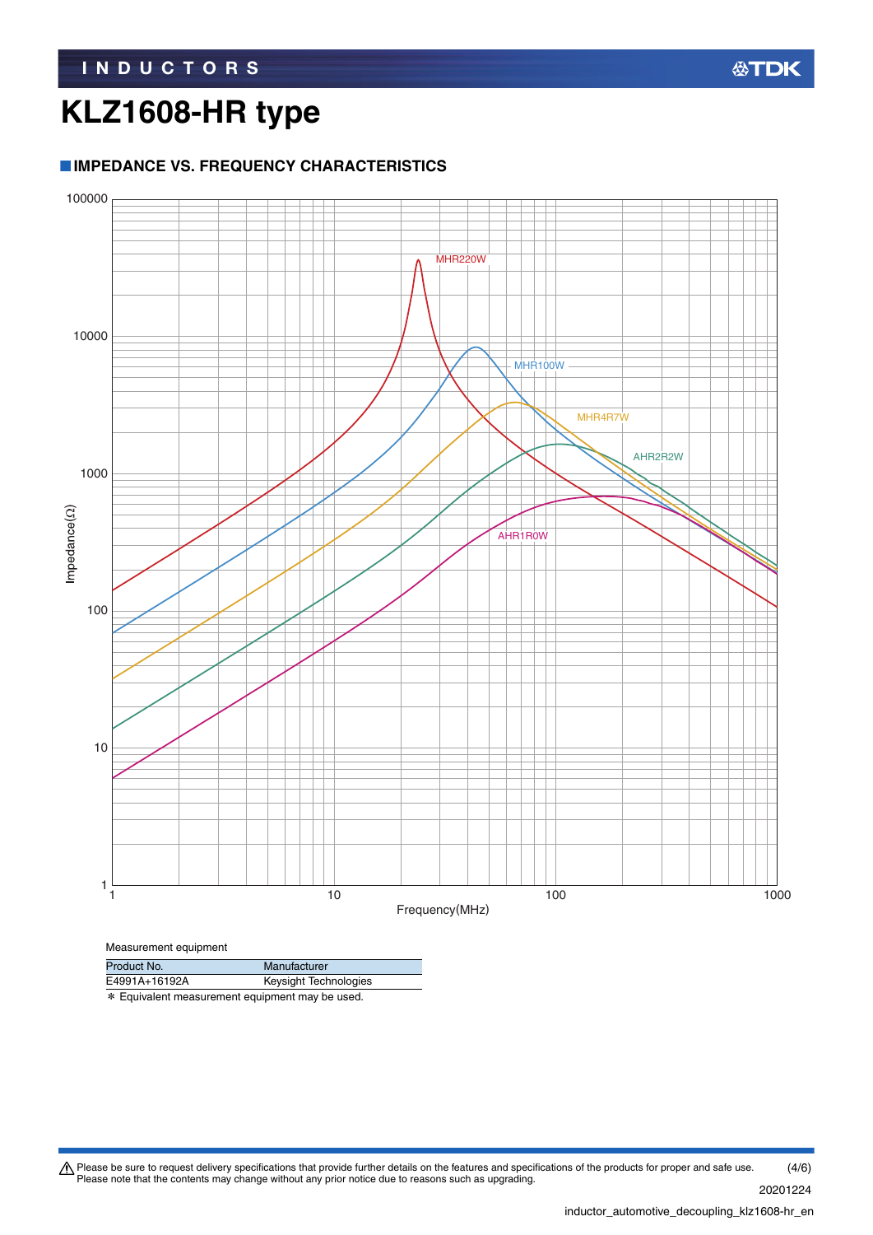### **IMPEDANCE VS. FREQUENCY CHARACTERISTICS**



\* Equivalent measurement equipment may be used. Product No. Manufacturer<br>E4991A+16192A Keysight Tech Keysight Technologies

Please be sure to request delivery specifications that provide further details on the features and specifications of the products for proper and safe use.<br>Please note that the contents may change without any prior notice d (4/6)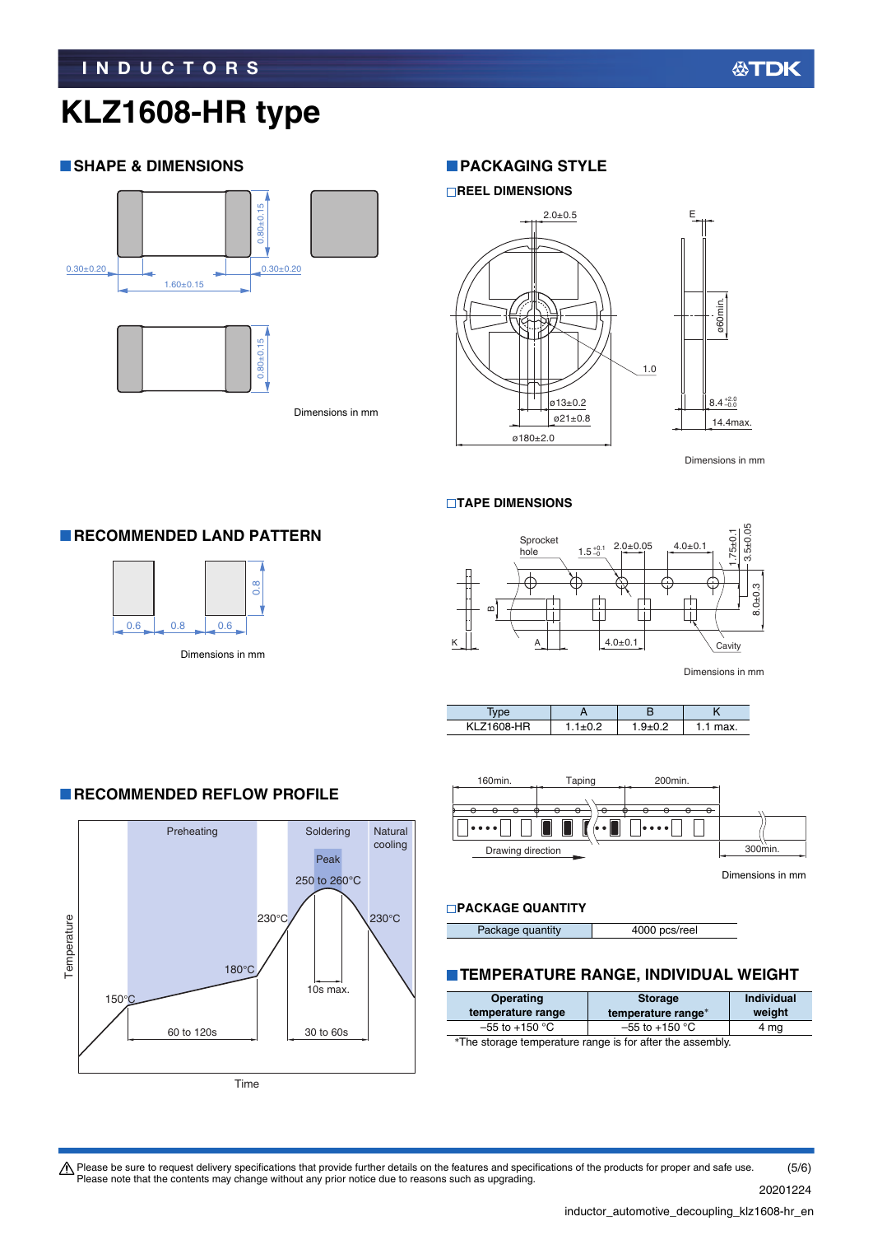### **SHAPE & DIMENSIONS**



**RECOMMENDED LAND PATTERN** 

 $0.6$  0.8

 $\begin{array}{c|c}\n8 & 0.6 \\
\hline\n\end{array}$ <br>Dimensions in mm

Dimensions in mm

### **PACKAGING STYLE**





Dimensions in mm

#### **TAPE DIMENSIONS**



Dimensions in mm





Dimensions in mm

### **PACKAGE QUANTITY**

Package quantity 4000 pcs/reel

### **TEMPERATURE RANGE, INDIVIDUAL WEIGHT**

| <b>Operating</b>                                           | <b>Storage</b>     | <b>Individual</b> |  |  |
|------------------------------------------------------------|--------------------|-------------------|--|--|
| temperature range                                          | temperature range* | weight            |  |  |
| $-55$ to $+150$ °C                                         | $-55$ to $+150$ °C | 4 mg              |  |  |
| *The stander tomponature nonce in fax often the accomplist |                    |                   |  |  |

∗The storage temperature range is for after the assembly.

#### Preheating Soldering Natural cooling Peak 250 to 260°C  $230^{\circ}$ C  $\sqrt{230^{\circ}$ C Temperature Temperature 180°C 10s max. 150°C

30 to 60s

**RECOMMENDED REFLOW PROFILE** 

60 to 120s



Please be sure to request delivery specifications that provide further details on the features and specifications of the products for proper and safe use.<br>Please note that the contents may change without any prior notice d (5/6)